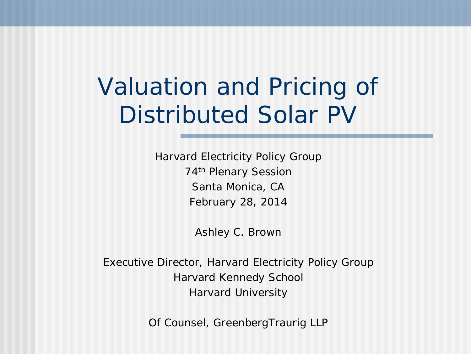# Valuation and Pricing of Distributed Solar PV

Harvard Electricity Policy Group 74th Plenary Session Santa Monica, CA February 28, 2014

Ashley C. Brown

Executive Director, Harvard Electricity Policy Group Harvard Kennedy School Harvard University

Of Counsel, GreenbergTraurig LLP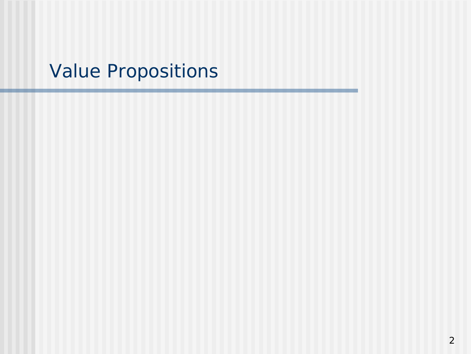### Value Propositions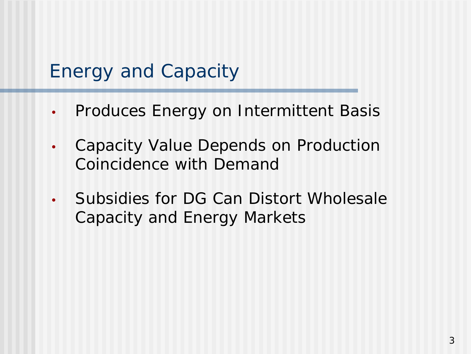#### Energy and Capacity

- Produces Energy on Intermittent Basis
- Capacity Value Depends on Production Coincidence with Demand
- Subsidies for DG Can Distort Wholesale Capacity and Energy Markets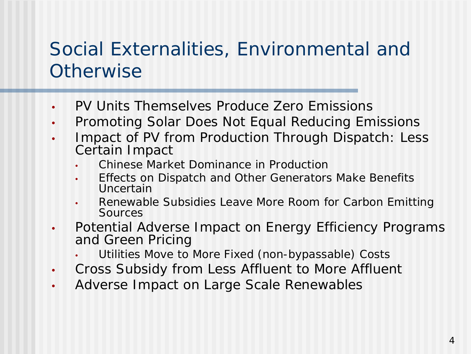## Social Externalities, Environmental and **Otherwise**

- PV Units Themselves Produce Zero Emissions
- Promoting Solar Does Not Equal Reducing Emissions
- Impact of PV from Production Through Dispatch: Less Certain Impact
	- Chinese Market Dominance in Production
	- Effects on Dispatch and Other Generators Make Benefits Uncertain
	- Renewable Subsidies Leave More Room for Carbon Emitting Sources
- Potential Adverse Impact on Energy Efficiency Programs and Green Pricing
	- Utilities Move to More Fixed (non-bypassable) Costs
- Cross Subsidy from Less Affluent to More Affluent
- Adverse Impact on Large Scale Renewables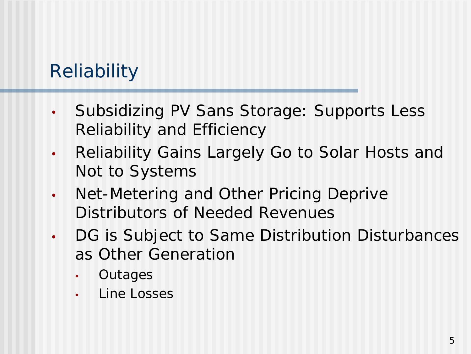# **Reliability**

- Subsidizing PV Sans Storage: Supports Less Reliability and Efficiency
- Reliability Gains Largely Go to Solar Hosts and Not to Systems
- Net-Metering and Other Pricing Deprive Distributors of Needed Revenues
- DG is Subject to Same Distribution Disturbances as Other Generation
	- **Outages**
	- Line Losses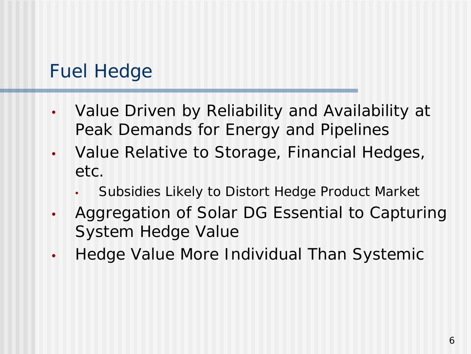### Fuel Hedge

- Value Driven by Reliability and Availability at Peak Demands for Energy and Pipelines
- Value Relative to Storage, Financial Hedges, etc.
	- Subsidies Likely to Distort Hedge Product Market
- Aggregation of Solar DG Essential to Capturing System Hedge Value
- Hedge Value More Individual Than Systemic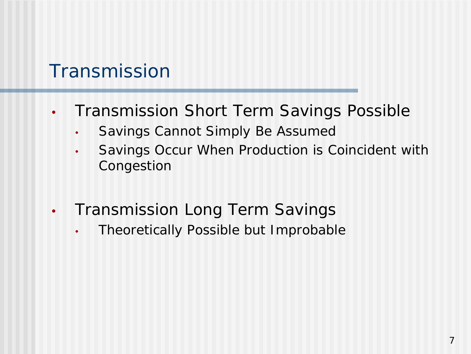#### **Transmission**

- Transmission Short Term Savings Possible
	- Savings Cannot Simply Be Assumed
	- Savings Occur When Production is Coincident with Congestion
- Transmission Long Term Savings
	- Theoretically Possible but Improbable